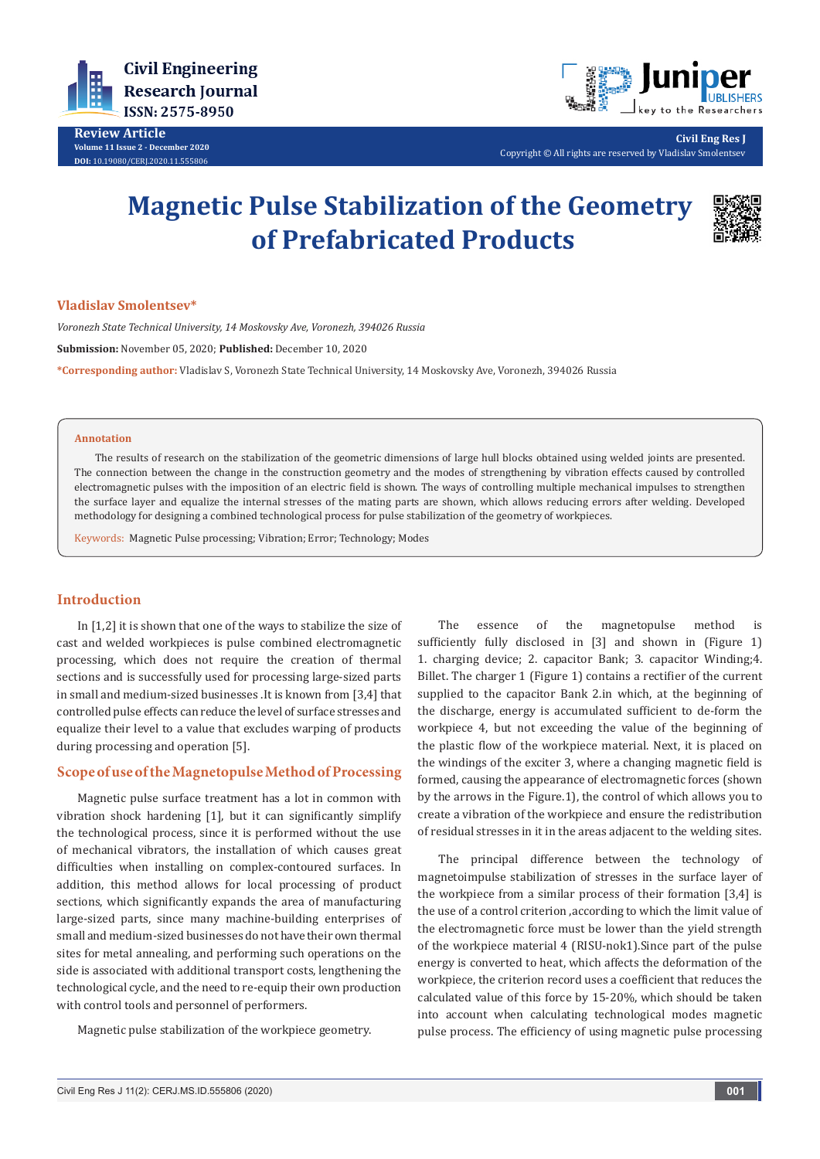

**Review Article Volume 11 Issue 2 - December 2020 DOI:** [10.19080/CERJ.2020.11.555](http://dx.doi.org/10.19080/CERJ.2020.11.555806)806



**Civil Eng Res J** Copyright © All rights are reserved by Vladislav Smolentsev

# **Magnetic Pulse Stabilization of the Geometry of Prefabricated Products**



## **Vladislav Smolentsev\***

*Voronezh State Technical University, 14 Moskovsky Ave, Voronezh, 394026 Russia* **Submission:** November 05, 2020; **Published:** December 10, 2020

**\*Corresponding author:** Vladislav S, Voronezh State Technical University, 14 Moskovsky Ave, Voronezh, 394026 Russia

#### **Annotation**

The results of research on the stabilization of the geometric dimensions of large hull blocks obtained using welded joints are presented. The connection between the change in the construction geometry and the modes of strengthening by vibration effects caused by controlled electromagnetic pulses with the imposition of an electric field is shown. The ways of controlling multiple mechanical impulses to strengthen the surface layer and equalize the internal stresses of the mating parts are shown, which allows reducing errors after welding. Developed methodology for designing a combined technological process for pulse stabilization of the geometry of workpieces.

Keywords: Magnetic Pulse processing; Vibration; Error; Technology; Modes

# **Introduction**

In [1,2] it is shown that one of the ways to stabilize the size of cast and welded workpieces is pulse combined electromagnetic processing, which does not require the creation of thermal sections and is successfully used for processing large-sized parts in small and medium-sized businesses .It is known from [3,4] that controlled pulse effects can reduce the level of surface stresses and equalize their level to a value that excludes warping of products during processing and operation [5].

# **Scope of use of the Magnetopulse Method of Processing**

Magnetic pulse surface treatment has a lot in common with vibration shock hardening [1], but it can significantly simplify the technological process, since it is performed without the use of mechanical vibrators, the installation of which causes great difficulties when installing on complex-contoured surfaces. In addition, this method allows for local processing of product sections, which significantly expands the area of manufacturing large-sized parts, since many machine-building enterprises of small and medium-sized businesses do not have their own thermal sites for metal annealing, and performing such operations on the side is associated with additional transport costs, lengthening the technological cycle, and the need to re-equip their own production with control tools and personnel of performers.

Magnetic pulse stabilization of the workpiece geometry.

The essence of the magnetopulse method is sufficiently fully disclosed in [3] and shown in (Figure 1) 1. charging device; 2. capacitor Bank; 3. capacitor Winding;4. Billet. The charger 1 (Figure 1) contains a rectifier of the current supplied to the capacitor Bank 2.in which, at the beginning of the discharge, energy is accumulated sufficient to de-form the workpiece 4, but not exceeding the value of the beginning of the plastic flow of the workpiece material. Next, it is placed on the windings of the exciter 3, where a changing magnetic field is formed, causing the appearance of electromagnetic forces (shown by the arrows in the Figure.1), the control of which allows you to create a vibration of the workpiece and ensure the redistribution of residual stresses in it in the areas adjacent to the welding sites.

The principal difference between the technology of magnetoimpulse stabilization of stresses in the surface layer of the workpiece from a similar process of their formation [3,4] is the use of a control criterion ,according to which the limit value of the electromagnetic force must be lower than the yield strength of the workpiece material 4 (RISU-nok1).Since part of the pulse energy is converted to heat, which affects the deformation of the workpiece, the criterion record uses a coefficient that reduces the calculated value of this force by 15-20%, which should be taken into account when calculating technological modes magnetic pulse process. The efficiency of using magnetic pulse processing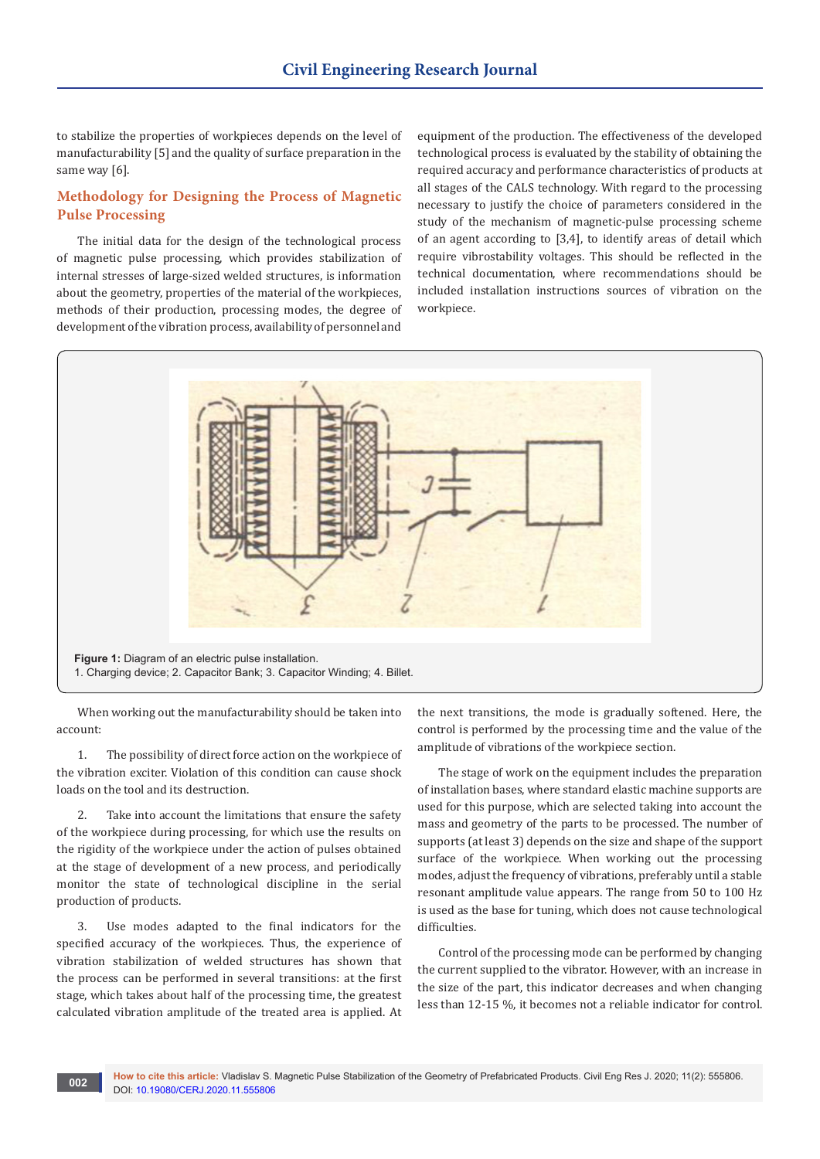to stabilize the properties of workpieces depends on the level of manufacturability [5] and the quality of surface preparation in the same way [6].

# **Methodology for Designing the Process of Magnetic Pulse Processing**

The initial data for the design of the technological process of magnetic pulse processing, which provides stabilization of internal stresses of large-sized welded structures, is information about the geometry, properties of the material of the workpieces, methods of their production, processing modes, the degree of development of the vibration process, availability of personnel and

equipment of the production. The effectiveness of the developed technological process is evaluated by the stability of obtaining the required accuracy and performance characteristics of products at all stages of the CALS technology. With regard to the processing necessary to justify the choice of parameters considered in the study of the mechanism of magnetic-pulse processing scheme of an agent according to [3,4], to identify areas of detail which require vibrostability voltages. This should be reflected in the technical documentation, where recommendations should be included installation instructions sources of vibration on the workpiece.



When working out the manufacturability should be taken into account:

1. The possibility of direct force action on the workpiece of the vibration exciter. Violation of this condition can cause shock loads on the tool and its destruction.

2. Take into account the limitations that ensure the safety of the workpiece during processing, for which use the results on the rigidity of the workpiece under the action of pulses obtained at the stage of development of a new process, and periodically monitor the state of technological discipline in the serial production of products.

3. Use modes adapted to the final indicators for the specified accuracy of the workpieces. Thus, the experience of vibration stabilization of welded structures has shown that the process can be performed in several transitions: at the first stage, which takes about half of the processing time, the greatest calculated vibration amplitude of the treated area is applied. At

the next transitions, the mode is gradually softened. Here, the control is performed by the processing time and the value of the amplitude of vibrations of the workpiece section.

The stage of work on the equipment includes the preparation of installation bases, where standard elastic machine supports are used for this purpose, which are selected taking into account the mass and geometry of the parts to be processed. The number of supports (at least 3) depends on the size and shape of the support surface of the workpiece. When working out the processing modes, adjust the frequency of vibrations, preferably until a stable resonant amplitude value appears. The range from 50 to 100 Hz is used as the base for tuning, which does not cause technological difficulties.

Control of the processing mode can be performed by changing the current supplied to the vibrator. However, with an increase in the size of the part, this indicator decreases and when changing less than 12-15 %, it becomes not a reliable indicator for control.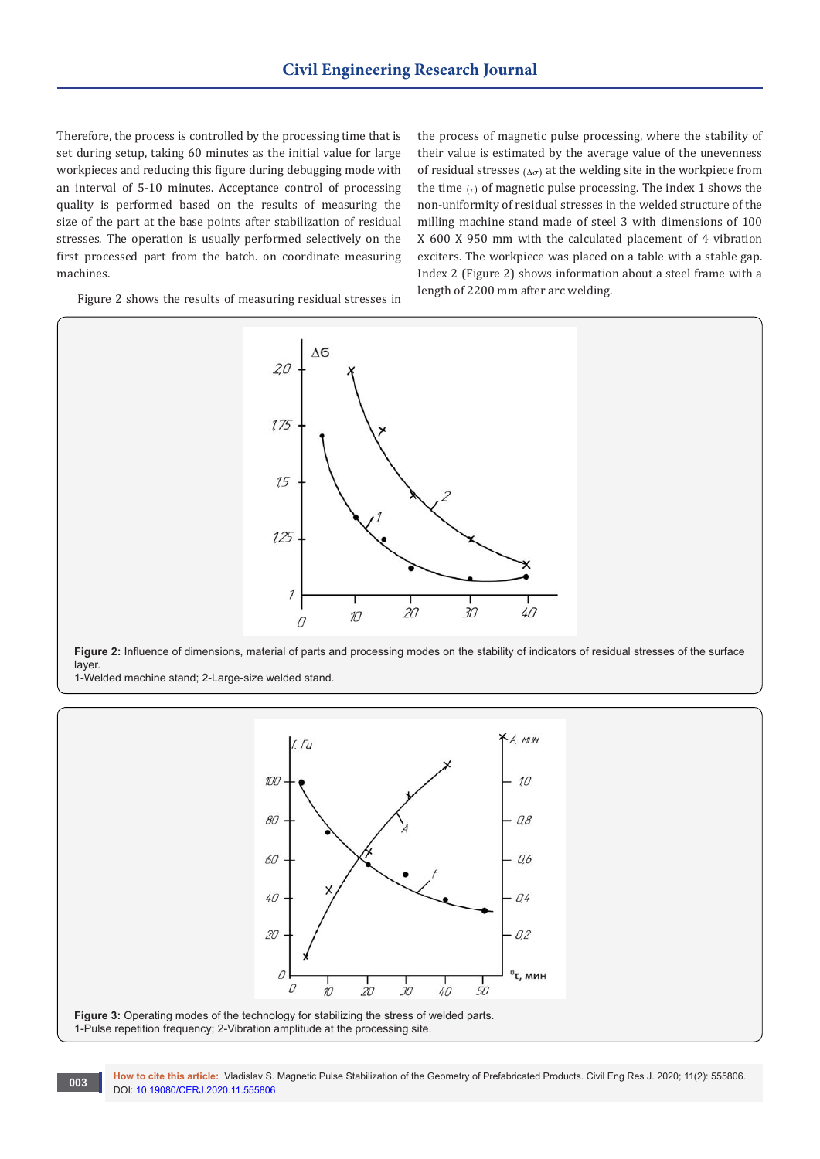Therefore, the process is controlled by the processing time that is set during setup, taking 60 minutes as the initial value for large workpieces and reducing this figure during debugging mode with an interval of 5-10 minutes. Acceptance control of processing quality is performed based on the results of measuring the size of the part at the base points after stabilization of residual stresses. The operation is usually performed selectively on the first processed part from the batch. on coordinate measuring machines.

the process of magnetic pulse processing, where the stability of their value is estimated by the average value of the unevenness of residual stresses ( $\Delta \sigma$ ) at the welding site in the workpiece from the time  $(r)$  of magnetic pulse processing. The index 1 shows the non-uniformity of residual stresses in the welded structure of the milling machine stand made of steel 3 with dimensions of 100 X 600 X 950 mm with the calculated placement of 4 vibration exciters. The workpiece was placed on a table with a stable gap. Index 2 (Figure 2) shows information about a steel frame with a length of 2200 mm after arc welding.

Figure 2 shows the results of measuring residual stresses in



**Figure 2:** Influence of dimensions, material of parts and processing modes on the stability of indicators of residual stresses of the surface layer.

1-Welded machine stand; 2-Large-size welded stand.



**How to cite this article:** Vladislav S. Magnetic Pulse Stabilization of the Geometry of Prefabricated Products. Civil Eng Res J. 2020; 11(2): 555806. **DOI:** [10.19080/CERJ.2020.11.5558](http://dx.doi.org/10.19080/CERJ.2020.11.555806)06